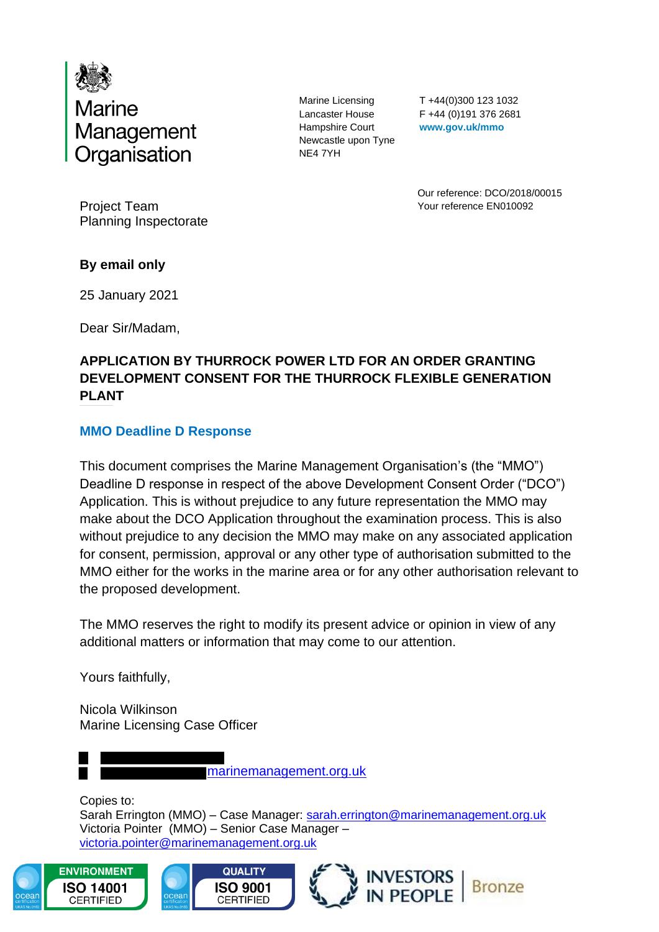

Marine Licensing Lancaster House Hampshire Court Newcastle upon Tyne NE4 7YH

T +44(0)300 123 1032 F +44 (0)191 376 2681 **www.gov.uk/mmo**

Our reference: DCO/2018/00015 Your reference EN010092

Project Team Planning Inspectorate

# **By email only**

25 January 2021

Dear Sir/Madam,

# **APPLICATION BY THURROCK POWER LTD FOR AN ORDER GRANTING DEVELOPMENT CONSENT FOR THE THURROCK FLEXIBLE GENERATION PLANT**

# **MMO Deadline D Response**

This document comprises the Marine Management Organisation's (the "MMO") Deadline D response in respect of the above Development Consent Order ("DCO") Application. This is without prejudice to any future representation the MMO may make about the DCO Application throughout the examination process. This is also without prejudice to any decision the MMO may make on any associated application for consent, permission, approval or any other type of authorisation submitted to the MMO either for the works in the marine area or for any other authorisation relevant to the proposed development.

The MMO reserves the right to modify its present advice or opinion in view of any additional matters or information that may come to our attention.

Yours faithfully,

Nicola Wilkinson Marine Licensing Case Officer

marinemanagement.org.uk

Copies to: Sarah Errington (MMO) - Case Manager: [sarah.errington@marinemanagement.org.uk](mailto:sarah.errington@marinemanagement.org.uk) Victoria Pointer (MMO) – Senior Case Manager – [victoria.pointer@marinemanagement.org.uk](mailto:Victoria.pointer@marinemanagement.org.uk)

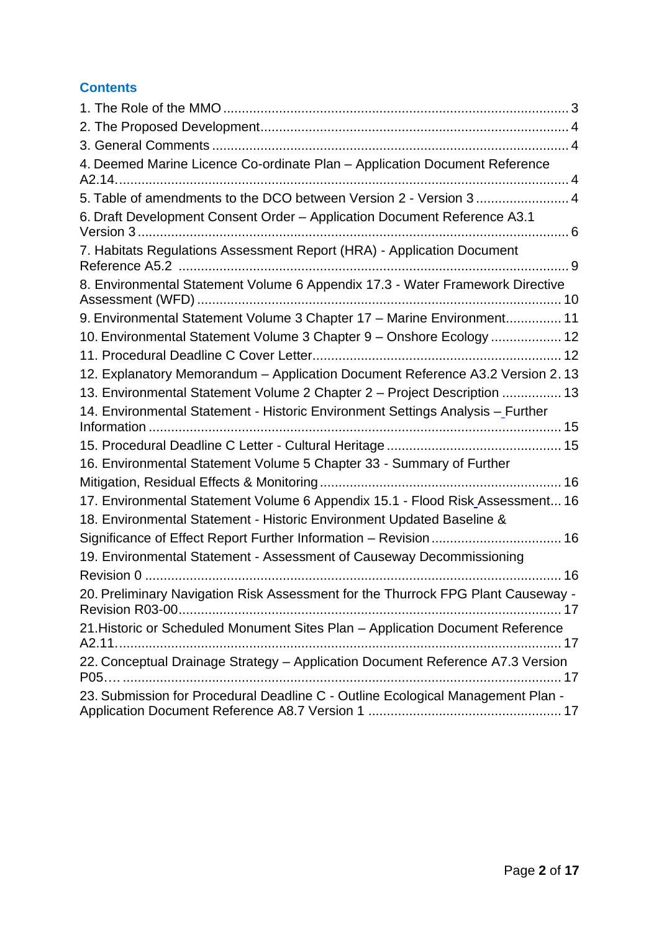# **Contents**

| 4. Deemed Marine Licence Co-ordinate Plan - Application Document Reference                                                                             |
|--------------------------------------------------------------------------------------------------------------------------------------------------------|
| 5. Table of amendments to the DCO between Version 2 - Version 3  4                                                                                     |
| 6. Draft Development Consent Order - Application Document Reference A3.1                                                                               |
| 7. Habitats Regulations Assessment Report (HRA) - Application Document                                                                                 |
| 8. Environmental Statement Volume 6 Appendix 17.3 - Water Framework Directive                                                                          |
| 9. Environmental Statement Volume 3 Chapter 17 - Marine Environment 11                                                                                 |
| 10. Environmental Statement Volume 3 Chapter 9 - Onshore Ecology  12                                                                                   |
|                                                                                                                                                        |
| 12. Explanatory Memorandum - Application Document Reference A3.2 Version 2.13                                                                          |
| 13. Environmental Statement Volume 2 Chapter 2 - Project Description  13                                                                               |
| 14. Environmental Statement - Historic Environment Settings Analysis - Further                                                                         |
|                                                                                                                                                        |
| 16. Environmental Statement Volume 5 Chapter 33 - Summary of Further                                                                                   |
|                                                                                                                                                        |
| 17. Environmental Statement Volume 6 Appendix 15.1 - Flood Risk Assessment 16<br>18. Environmental Statement - Historic Environment Updated Baseline & |
| Significance of Effect Report Further Information - Revision 16                                                                                        |
| 19. Environmental Statement - Assessment of Causeway Decommissioning                                                                                   |
|                                                                                                                                                        |
| 20. Preliminary Navigation Risk Assessment for the Thurrock FPG Plant Causeway -                                                                       |
| 21. Historic or Scheduled Monument Sites Plan - Application Document Reference                                                                         |
| 22. Conceptual Drainage Strategy - Application Document Reference A7.3 Version                                                                         |
| 23. Submission for Procedural Deadline C - Outline Ecological Management Plan -                                                                        |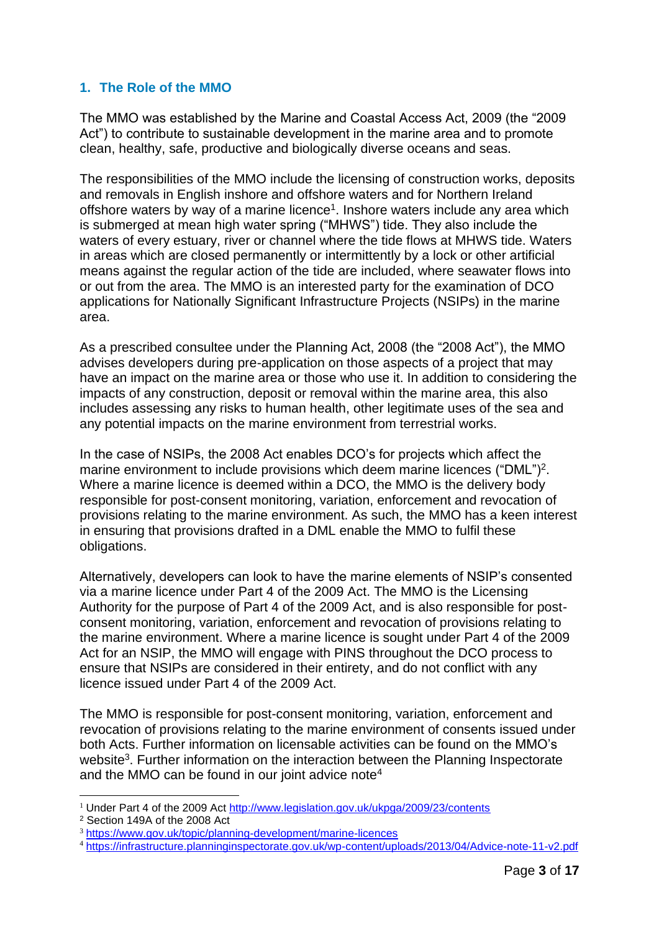# <span id="page-2-0"></span>**1. The Role of the MMO**

The MMO was established by the Marine and Coastal Access Act, 2009 (the "2009 Act") to contribute to sustainable development in the marine area and to promote clean, healthy, safe, productive and biologically diverse oceans and seas.

The responsibilities of the MMO include the licensing of construction works, deposits and removals in English inshore and offshore waters and for Northern Ireland offshore waters by way of a marine licence<sup>1</sup>. Inshore waters include any area which is submerged at mean high water spring ("MHWS") tide. They also include the waters of every estuary, river or channel where the tide flows at MHWS tide. Waters in areas which are closed permanently or intermittently by a lock or other artificial means against the regular action of the tide are included, where seawater flows into or out from the area. The MMO is an interested party for the examination of DCO applications for Nationally Significant Infrastructure Projects (NSIPs) in the marine area.

As a prescribed consultee under the Planning Act, 2008 (the "2008 Act"), the MMO advises developers during pre-application on those aspects of a project that may have an impact on the marine area or those who use it. In addition to considering the impacts of any construction, deposit or removal within the marine area, this also includes assessing any risks to human health, other legitimate uses of the sea and any potential impacts on the marine environment from terrestrial works.

In the case of NSIPs, the 2008 Act enables DCO's for projects which affect the marine environment to include provisions which deem marine licences ("DML")<sup>2</sup>. Where a marine licence is deemed within a DCO, the MMO is the delivery body responsible for post-consent monitoring, variation, enforcement and revocation of provisions relating to the marine environment. As such, the MMO has a keen interest in ensuring that provisions drafted in a DML enable the MMO to fulfil these obligations.

Alternatively, developers can look to have the marine elements of NSIP's consented via a marine licence under Part 4 of the 2009 Act. The MMO is the Licensing Authority for the purpose of Part 4 of the 2009 Act, and is also responsible for postconsent monitoring, variation, enforcement and revocation of provisions relating to the marine environment. Where a marine licence is sought under Part 4 of the 2009 Act for an NSIP, the MMO will engage with PINS throughout the DCO process to ensure that NSIPs are considered in their entirety, and do not conflict with any licence issued under Part 4 of the 2009 Act.

The MMO is responsible for post-consent monitoring, variation, enforcement and revocation of provisions relating to the marine environment of consents issued under both Acts. Further information on licensable activities can be found on the MMO's website<sup>3</sup>. Further information on the interaction between the Planning Inspectorate and the MMO can be found in our joint advice note<sup>4</sup>

<sup>&</sup>lt;sup>1</sup> Under Part 4 of the 2009 Act<http://www.legislation.gov.uk/ukpga/2009/23/contents>

<sup>2</sup> Section 149A of the 2008 Act

<sup>3</sup> <https://www.gov.uk/topic/planning-development/marine-licences>

<sup>4</sup> <https://infrastructure.planninginspectorate.gov.uk/wp-content/uploads/2013/04/Advice-note-11-v2.pdf>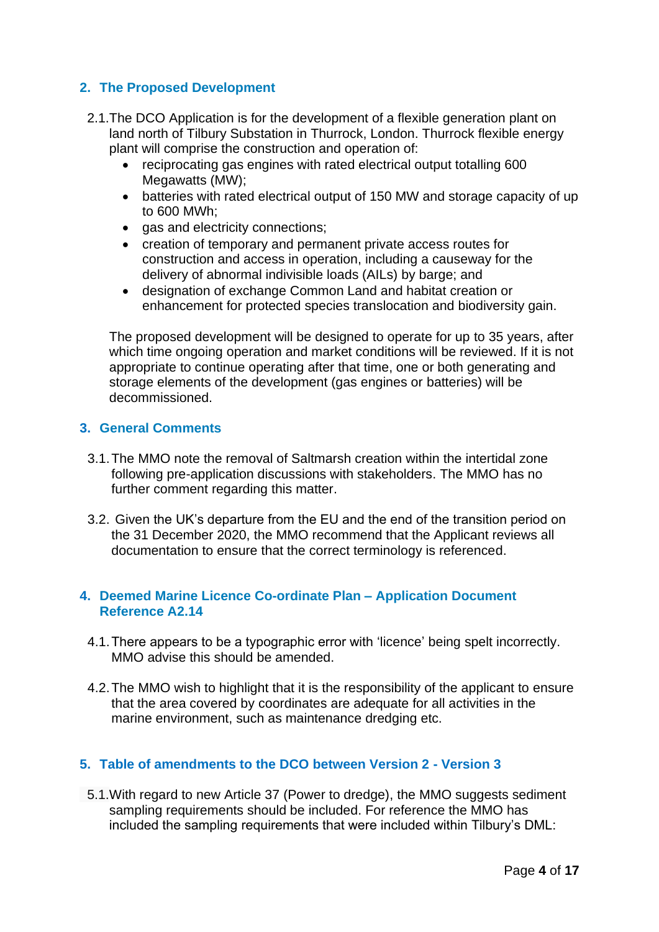# <span id="page-3-0"></span>**2. The Proposed Development**

- 2.1.The DCO Application is for the development of a flexible generation plant on land north of Tilbury Substation in Thurrock, London. Thurrock flexible energy plant will comprise the construction and operation of:
	- reciprocating gas engines with rated electrical output totalling 600 Megawatts (MW);
	- batteries with rated electrical output of 150 MW and storage capacity of up to 600 MWh;
	- gas and electricity connections;
	- creation of temporary and permanent private access routes for construction and access in operation, including a causeway for the delivery of abnormal indivisible loads (AILs) by barge; and
	- designation of exchange Common Land and habitat creation or enhancement for protected species translocation and biodiversity gain.

 The proposed development will be designed to operate for up to 35 years, after which time ongoing operation and market conditions will be reviewed. If it is not appropriate to continue operating after that time, one or both generating and storage elements of the development (gas engines or batteries) will be decommissioned.

# <span id="page-3-1"></span>**3. General Comments**

- 3.1.The MMO note the removal of Saltmarsh creation within the intertidal zone following pre-application discussions with stakeholders. The MMO has no further comment regarding this matter.
- 3.2. Given the UK's departure from the EU and the end of the transition period on the 31 December 2020, the MMO recommend that the Applicant reviews all documentation to ensure that the correct terminology is referenced.

#### <span id="page-3-2"></span>**4. Deemed Marine Licence Co-ordinate Plan – Application Document Reference A2.14**

- 4.1.There appears to be a typographic error with 'licence' being spelt incorrectly. MMO advise this should be amended.
- 4.2.The MMO wish to highlight that it is the responsibility of the applicant to ensure that the area covered by coordinates are adequate for all activities in the marine environment, such as maintenance dredging etc.

# <span id="page-3-3"></span>**5. Table of amendments to the DCO between Version 2 - Version 3**

 5.1.With regard to new Article 37 (Power to dredge), the MMO suggests sediment sampling requirements should be included. For reference the MMO has included the sampling requirements that were included within Tilbury's DML: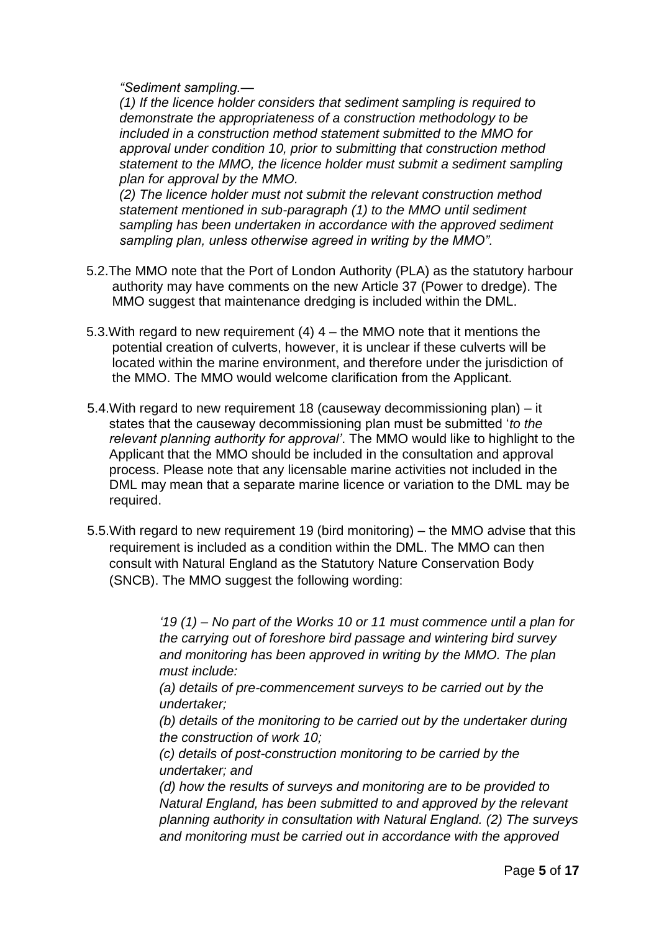*"Sediment sampling.—*

*(1) If the licence holder considers that sediment sampling is required to demonstrate the appropriateness of a construction methodology to be included in a construction method statement submitted to the MMO for approval under condition 10, prior to submitting that construction method statement to the MMO, the licence holder must submit a sediment sampling plan for approval by the MMO.* 

*(2) The licence holder must not submit the relevant construction method statement mentioned in sub-paragraph (1) to the MMO until sediment sampling has been undertaken in accordance with the approved sediment sampling plan, unless otherwise agreed in writing by the MMO".*

- 5.2.The MMO note that the Port of London Authority (PLA) as the statutory harbour authority may have comments on the new Article 37 (Power to dredge). The MMO suggest that maintenance dredging is included within the DML.
- 5.3.With regard to new requirement (4) 4 the MMO note that it mentions the potential creation of culverts, however, it is unclear if these culverts will be located within the marine environment, and therefore under the jurisdiction of the MMO. The MMO would welcome clarification from the Applicant.
- 5.4.With regard to new requirement 18 (causeway decommissioning plan) it states that the causeway decommissioning plan must be submitted '*to the relevant planning authority for approval'*. The MMO would like to highlight to the Applicant that the MMO should be included in the consultation and approval process. Please note that any licensable marine activities not included in the DML may mean that a separate marine licence or variation to the DML may be required.
- 5.5.With regard to new requirement 19 (bird monitoring) the MMO advise that this requirement is included as a condition within the DML. The MMO can then consult with Natural England as the Statutory Nature Conservation Body (SNCB). The MMO suggest the following wording:

*'19 (1) – No part of the Works 10 or 11 must commence until a plan for the carrying out of foreshore bird passage and wintering bird survey and monitoring has been approved in writing by the MMO. The plan must include:* 

*(a) details of pre-commencement surveys to be carried out by the undertaker;*

*(b) details of the monitoring to be carried out by the undertaker during the construction of work 10;* 

*(c) details of post-construction monitoring to be carried by the undertaker; and*

*(d) how the results of surveys and monitoring are to be provided to Natural England, has been submitted to and approved by the relevant planning authority in consultation with Natural England. (2) The surveys and monitoring must be carried out in accordance with the approved*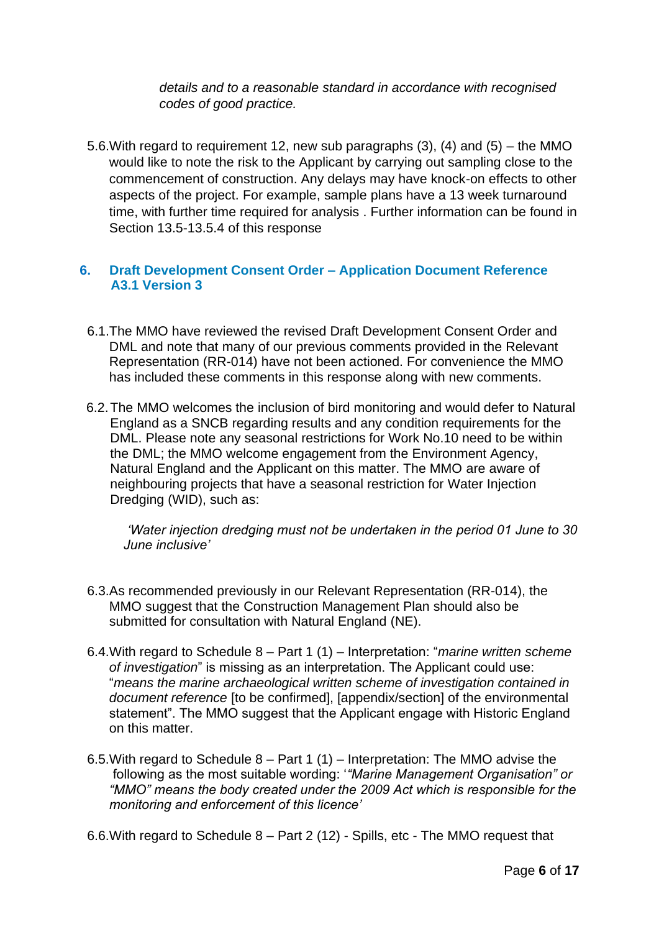*details and to a reasonable standard in accordance with recognised codes of good practice.*

 5.6.With regard to requirement 12, new sub paragraphs (3), (4) and (5) – the MMO would like to note the risk to the Applicant by carrying out sampling close to the commencement of construction. Any delays may have knock-on effects to other aspects of the project. For example, sample plans have a 13 week turnaround time, with further time required for analysis . Further information can be found in Section 13.5-13.5.4 of this response

# <span id="page-5-0"></span>**6. Draft Development Consent Order – Application Document Reference A3.1 Version 3**

- 6.1.The MMO have reviewed the revised Draft Development Consent Order and DML and note that many of our previous comments provided in the Relevant Representation (RR-014) have not been actioned. For convenience the MMO has included these comments in this response along with new comments.
- 6.2.The MMO welcomes the inclusion of bird monitoring and would defer to Natural England as a SNCB regarding results and any condition requirements for the DML. Please note any seasonal restrictions for Work No.10 need to be within the DML; the MMO welcome engagement from the Environment Agency, Natural England and the Applicant on this matter. The MMO are aware of neighbouring projects that have a seasonal restriction for Water Injection Dredging (WID), such as:

*'Water injection dredging must not be undertaken in the period 01 June to 30 June inclusive'*

- 6.3.As recommended previously in our Relevant Representation (RR-014), the MMO suggest that the Construction Management Plan should also be submitted for consultation with Natural England (NE).
- 6.4.With regard to Schedule 8 Part 1 (1) Interpretation: "*marine written scheme of investigation*" is missing as an interpretation. The Applicant could use: "*means the marine archaeological written scheme of investigation contained in document reference* [to be confirmed], [appendix/section] of the environmental statement". The MMO suggest that the Applicant engage with Historic England on this matter.
- 6.5.With regard to Schedule 8 Part 1 (1) Interpretation: The MMO advise the following as the most suitable wording: '*"Marine Management Organisation" or "MMO" means the body created under the 2009 Act which is responsible for the monitoring and enforcement of this licence'*

6.6.With regard to Schedule 8 – Part 2 (12) - Spills, etc - The MMO request that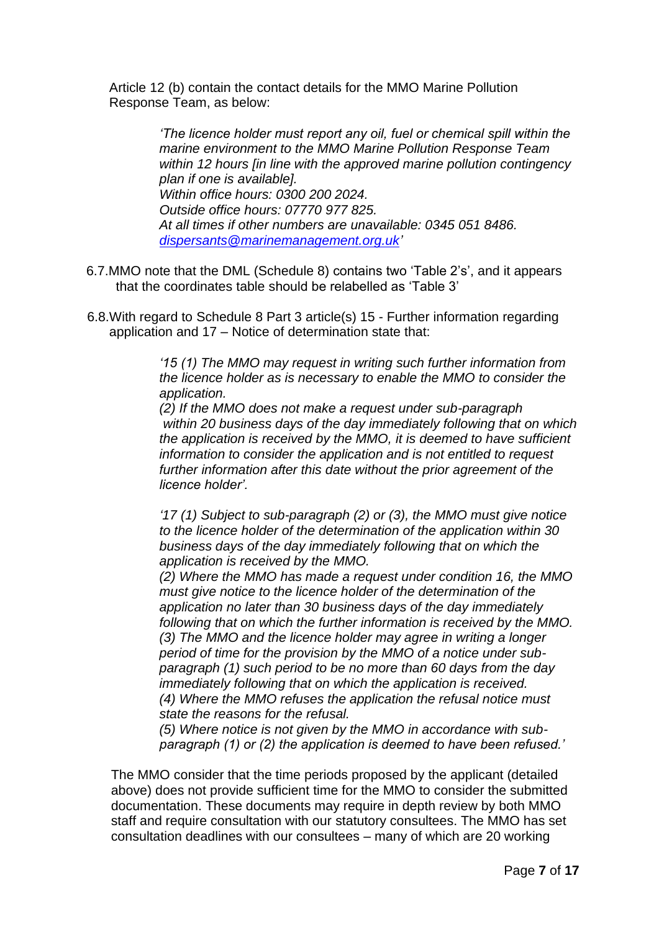Article 12 (b) contain the contact details for the MMO Marine Pollution Response Team, as below:

> *'The licence holder must report any oil, fuel or chemical spill within the marine environment to the MMO Marine Pollution Response Team within 12 hours [in line with the approved marine pollution contingency plan if one is available]. Within office hours: 0300 200 2024. Outside office hours: 07770 977 825. At all times if other numbers are unavailable: 0345 051 8486. [dispersants@marinemanagement.org.uk'](mailto:dispersants@marinemanagement.org.uk)*

- 6.7.MMO note that the DML (Schedule 8) contains two 'Table 2's', and it appears that the coordinates table should be relabelled as 'Table 3'
- 6.8.With regard to Schedule 8 Part 3 article(s) 15 Further information regarding application and 17 – Notice of determination state that:

*'15 (1) The MMO may request in writing such further information from the licence holder as is necessary to enable the MMO to consider the application.* 

*(2) If the MMO does not make a request under sub-paragraph within 20 business days of the day immediately following that on which the application is received by the MMO, it is deemed to have sufficient information to consider the application and is not entitled to request further information after this date without the prior agreement of the licence holder'.* 

*'17 (1) Subject to sub-paragraph (2) or (3), the MMO must give notice to the licence holder of the determination of the application within 30 business days of the day immediately following that on which the application is received by the MMO.* 

*(2) Where the MMO has made a request under condition 16, the MMO must give notice to the licence holder of the determination of the application no later than 30 business days of the day immediately following that on which the further information is received by the MMO. (3) The MMO and the licence holder may agree in writing a longer period of time for the provision by the MMO of a notice under subparagraph (1) such period to be no more than 60 days from the day immediately following that on which the application is received. (4) Where the MMO refuses the application the refusal notice must state the reasons for the refusal.* 

*(5) Where notice is not given by the MMO in accordance with subparagraph (1) or (2) the application is deemed to have been refused.'* 

The MMO consider that the time periods proposed by the applicant (detailed above) does not provide sufficient time for the MMO to consider the submitted documentation. These documents may require in depth review by both MMO staff and require consultation with our statutory consultees. The MMO has set consultation deadlines with our consultees – many of which are 20 working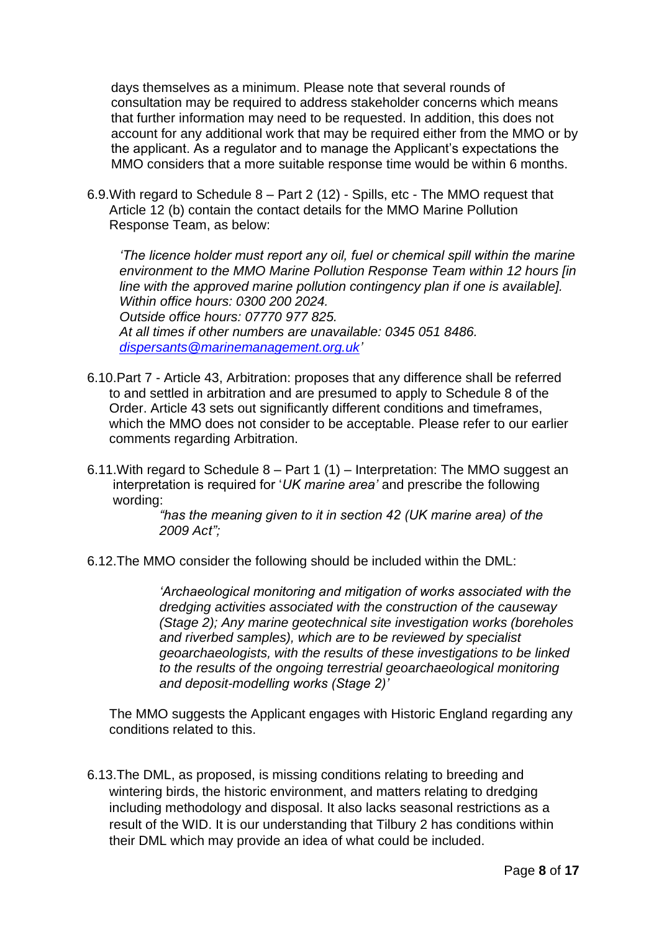days themselves as a minimum. Please note that several rounds of consultation may be required to address stakeholder concerns which means that further information may need to be requested. In addition, this does not account for any additional work that may be required either from the MMO or by the applicant. As a regulator and to manage the Applicant's expectations the MMO considers that a more suitable response time would be within 6 months.

 6.9.With regard to Schedule 8 – Part 2 (12) - Spills, etc - The MMO request that Article 12 (b) contain the contact details for the MMO Marine Pollution Response Team, as below:

*'The licence holder must report any oil, fuel or chemical spill within the marine environment to the MMO Marine Pollution Response Team within 12 hours [in line with the approved marine pollution contingency plan if one is available]. Within office hours: 0300 200 2024. Outside office hours: 07770 977 825. At all times if other numbers are unavailable: 0345 051 8486. [dispersants@marinemanagement.org.uk'](mailto:dispersants@marinemanagement.org.uk)*

- 6.10.Part 7 Article 43, Arbitration: proposes that any difference shall be referred to and settled in arbitration and are presumed to apply to Schedule 8 of the Order. Article 43 sets out significantly different conditions and timeframes, which the MMO does not consider to be acceptable. Please refer to our earlier comments regarding Arbitration.
- 6.11. With regard to Schedule  $8 -$  Part 1 (1) Interpretation: The MMO suggest an interpretation is required for '*UK marine area'* and prescribe the following wording:

*"has the meaning given to it in section 42 (UK marine area) of the 2009 Act";*

6.12.The MMO consider the following should be included within the DML:

*'Archaeological monitoring and mitigation of works associated with the dredging activities associated with the construction of the causeway (Stage 2); Any marine geotechnical site investigation works (boreholes and riverbed samples), which are to be reviewed by specialist geoarchaeologists, with the results of these investigations to be linked to the results of the ongoing terrestrial geoarchaeological monitoring and deposit-modelling works (Stage 2)'*

 The MMO suggests the Applicant engages with Historic England regarding any conditions related to this.

 6.13.The DML, as proposed, is missing conditions relating to breeding and wintering birds, the historic environment, and matters relating to dredging including methodology and disposal. It also lacks seasonal restrictions as a result of the WID. It is our understanding that Tilbury 2 has conditions within their DML which may provide an idea of what could be included.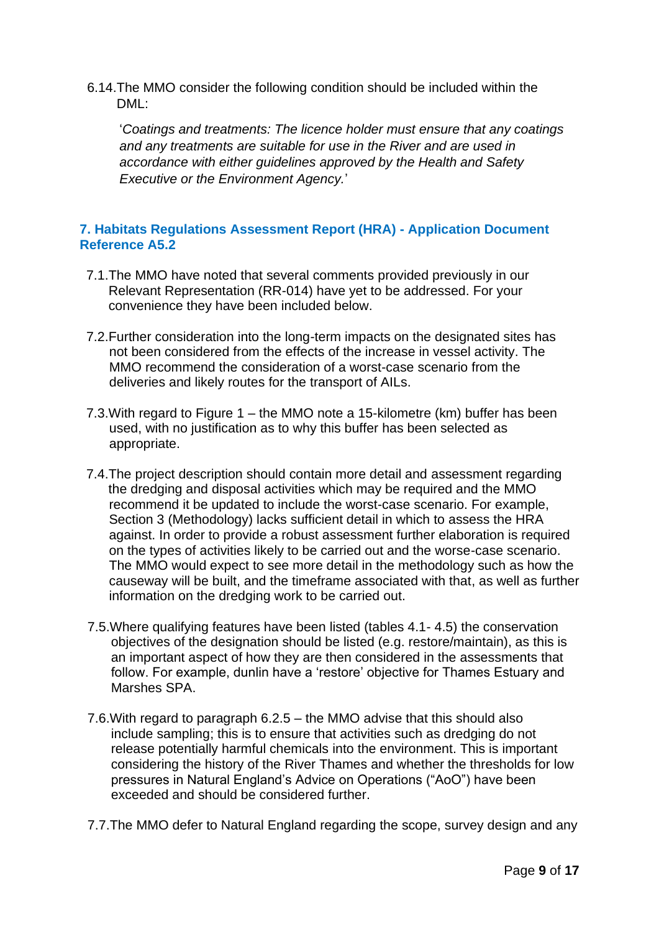6.14.The MMO consider the following condition should be included within the DML:

'*Coatings and treatments: The licence holder must ensure that any coatings and any treatments are suitable for use in the River and are used in accordance with either guidelines approved by the Health and Safety Executive or the Environment Agency.*'

# <span id="page-8-0"></span>**7. Habitats Regulations Assessment Report (HRA) - Application Document Reference A5.2**

- 7.1.The MMO have noted that several comments provided previously in our Relevant Representation (RR-014) have yet to be addressed. For your convenience they have been included below.
- 7.2.Further consideration into the long-term impacts on the designated sites has not been considered from the effects of the increase in vessel activity. The MMO recommend the consideration of a worst-case scenario from the deliveries and likely routes for the transport of AILs.
- 7.3.With regard to Figure 1 the MMO note a 15-kilometre (km) buffer has been used, with no justification as to why this buffer has been selected as appropriate.
- 7.4.The project description should contain more detail and assessment regarding the dredging and disposal activities which may be required and the MMO recommend it be updated to include the worst-case scenario. For example, Section 3 (Methodology) lacks sufficient detail in which to assess the HRA against. In order to provide a robust assessment further elaboration is required on the types of activities likely to be carried out and the worse-case scenario. The MMO would expect to see more detail in the methodology such as how the causeway will be built, and the timeframe associated with that, as well as further information on the dredging work to be carried out.
- 7.5.Where qualifying features have been listed (tables 4.1- 4.5) the conservation objectives of the designation should be listed (e.g. restore/maintain), as this is an important aspect of how they are then considered in the assessments that follow. For example, dunlin have a 'restore' objective for Thames Estuary and Marshes SPA.
- 7.6.With regard to paragraph 6.2.5 the MMO advise that this should also include sampling; this is to ensure that activities such as dredging do not release potentially harmful chemicals into the environment. This is important considering the history of the River Thames and whether the thresholds for low pressures in Natural England's Advice on Operations ("AoO") have been exceeded and should be considered further.
- 7.7.The MMO defer to Natural England regarding the scope, survey design and any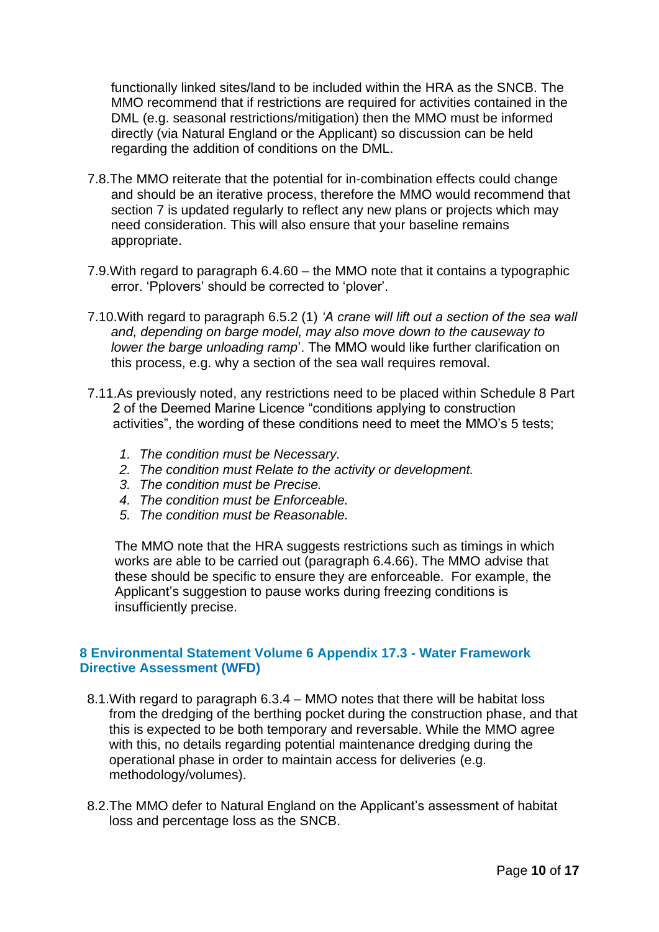functionally linked sites/land to be included within the HRA as the SNCB. The MMO recommend that if restrictions are required for activities contained in the DML (e.g. seasonal restrictions/mitigation) then the MMO must be informed directly (via Natural England or the Applicant) so discussion can be held regarding the addition of conditions on the DML.

- 7.8.The MMO reiterate that the potential for in-combination effects could change and should be an iterative process, therefore the MMO would recommend that section 7 is updated regularly to reflect any new plans or projects which may need consideration. This will also ensure that your baseline remains appropriate.
- 7.9.With regard to paragraph 6.4.60 the MMO note that it contains a typographic error. 'Pplovers' should be corrected to 'plover'.
- 7.10.With regard to paragraph 6.5.2 (1) *'A crane will lift out a section of the sea wall and, depending on barge model, may also move down to the causeway to lower the barge unloading ramp*'. The MMO would like further clarification on this process, e.g. why a section of the sea wall requires removal.
- 7.11.As previously noted, any restrictions need to be placed within Schedule 8 Part 2 of the Deemed Marine Licence "conditions applying to construction activities", the wording of these conditions need to meet the MMO's 5 tests;
	- *1. The condition must be Necessary.*
	- *2. The condition must Relate to the activity or development.*
	- *3. The condition must be Precise.*
	- *4. The condition must be Enforceable.*
	- *5. The condition must be Reasonable.*

The MMO note that the HRA suggests restrictions such as timings in which works are able to be carried out (paragraph 6.4.66). The MMO advise that these should be specific to ensure they are enforceable. For example, the Applicant's suggestion to pause works during freezing conditions is insufficiently precise.

# <span id="page-9-0"></span>**8 Environmental Statement Volume 6 Appendix 17.3 - Water Framework Directive Assessment (WFD)**

- 8.1.With regard to paragraph 6.3.4 MMO notes that there will be habitat loss from the dredging of the berthing pocket during the construction phase, and that this is expected to be both temporary and reversable. While the MMO agree with this, no details regarding potential maintenance dredging during the operational phase in order to maintain access for deliveries (e.g. methodology/volumes).
- 8.2.The MMO defer to Natural England on the Applicant's assessment of habitat loss and percentage loss as the SNCB.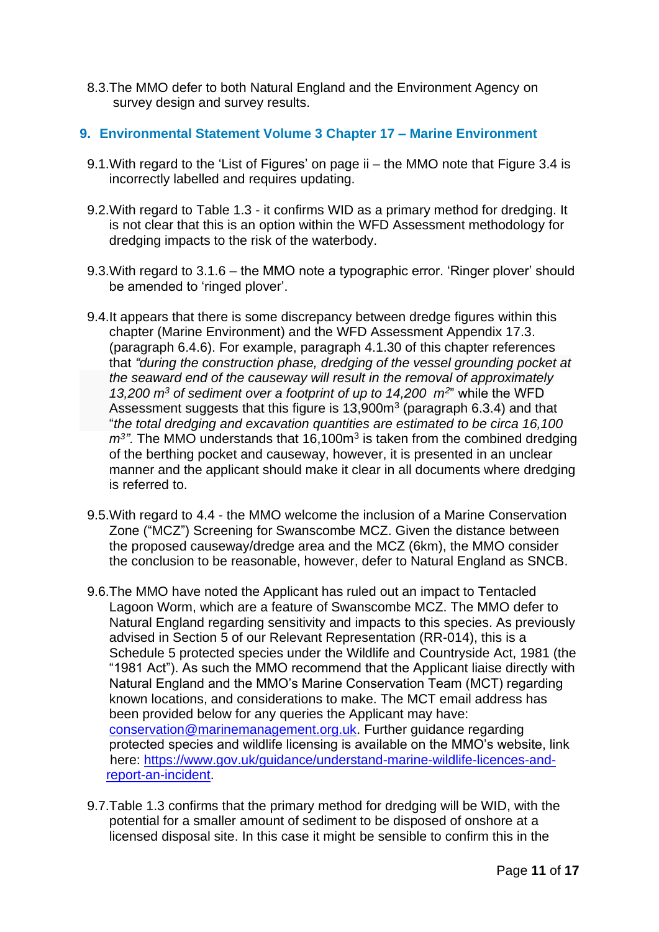8.3.The MMO defer to both Natural England and the Environment Agency on survey design and survey results.

# <span id="page-10-0"></span>**9. Environmental Statement Volume 3 Chapter 17 – Marine Environment**

- 9.1.With regard to the 'List of Figures' on page ii the MMO note that Figure 3.4 is incorrectly labelled and requires updating.
- 9.2.With regard to Table 1.3 it confirms WID as a primary method for dredging. It is not clear that this is an option within the WFD Assessment methodology for dredging impacts to the risk of the waterbody.
- 9.3.With regard to 3.1.6 the MMO note a typographic error. 'Ringer plover' should be amended to 'ringed plover'.
- 9.4.It appears that there is some discrepancy between dredge figures within this chapter (Marine Environment) and the WFD Assessment Appendix 17.3. (paragraph 6.4.6). For example, paragraph 4.1.30 of this chapter references that *"during the construction phase, dredging of the vessel grounding pocket at the seaward end of the causeway will result in the removal of approximately 13,200 m<sup>3</sup> of sediment over a footprint of up to 14,200 m<sup>2</sup>* " while the WFD Assessment suggests that this figure is  $13,900m<sup>3</sup>$  (paragraph 6.3.4) and that "*the total dredging and excavation quantities are estimated to be circa 16,100*   $m<sup>3</sup>$ . The MMO understands that 16,100 $m<sup>3</sup>$  is taken from the combined dredging of the berthing pocket and causeway, however, it is presented in an unclear manner and the applicant should make it clear in all documents where dredging is referred to.
- 9.5.With regard to 4.4 the MMO welcome the inclusion of a Marine Conservation Zone ("MCZ") Screening for Swanscombe MCZ. Given the distance between the proposed causeway/dredge area and the MCZ (6km), the MMO consider the conclusion to be reasonable, however, defer to Natural England as SNCB.
- 9.6.The MMO have noted the Applicant has ruled out an impact to Tentacled Lagoon Worm, which are a feature of Swanscombe MCZ. The MMO defer to Natural England regarding sensitivity and impacts to this species. As previously advised in Section 5 of our Relevant Representation (RR-014), this is a Schedule 5 protected species under the Wildlife and Countryside Act, 1981 (the "1981 Act"). As such the MMO recommend that the Applicant liaise directly with Natural England and the MMO's Marine Conservation Team (MCT) regarding known locations, and considerations to make. The MCT email address has been provided below for any queries the Applicant may have: [conservation@marinemanagement.org.uk.](mailto:conservation@marinemanagement.org.uk) Further guidance regarding protected species and wildlife licensing is available on the MMO's website, link here: [https://www.gov.uk/guidance/understand-marine-wildlife-licences-and](https://www.gov.uk/guidance/understand-marine-wildlife-licences-and-%20%20report-an-incident)[report-an-incident.](https://www.gov.uk/guidance/understand-marine-wildlife-licences-and-%20%20report-an-incident)
- 9.7.Table 1.3 confirms that the primary method for dredging will be WID, with the potential for a smaller amount of sediment to be disposed of onshore at a licensed disposal site. In this case it might be sensible to confirm this in the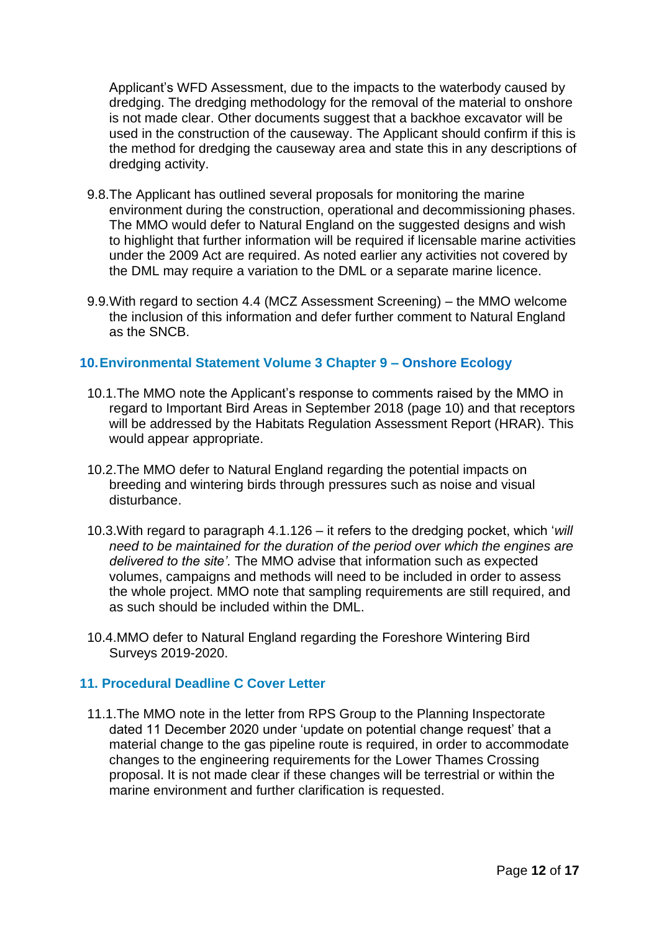Applicant's WFD Assessment, due to the impacts to the waterbody caused by dredging. The dredging methodology for the removal of the material to onshore is not made clear. Other documents suggest that a backhoe excavator will be used in the construction of the causeway. The Applicant should confirm if this is the method for dredging the causeway area and state this in any descriptions of dredging activity.

- 9.8.The Applicant has outlined several proposals for monitoring the marine environment during the construction, operational and decommissioning phases. The MMO would defer to Natural England on the suggested designs and wish to highlight that further information will be required if licensable marine activities under the 2009 Act are required. As noted earlier any activities not covered by the DML may require a variation to the DML or a separate marine licence.
- 9.9.With regard to section 4.4 (MCZ Assessment Screening) the MMO welcome the inclusion of this information and defer further comment to Natural England as the SNCB.

# <span id="page-11-0"></span>**10.Environmental Statement Volume 3 Chapter 9 – Onshore Ecology**

- 10.1.The MMO note the Applicant's response to comments raised by the MMO in regard to Important Bird Areas in September 2018 (page 10) and that receptors will be addressed by the Habitats Regulation Assessment Report (HRAR). This would appear appropriate.
- 10.2.The MMO defer to Natural England regarding the potential impacts on breeding and wintering birds through pressures such as noise and visual disturbance.
- 10.3.With regard to paragraph 4.1.126 it refers to the dredging pocket, which '*will need to be maintained for the duration of the period over which the engines are delivered to the site'.* The MMO advise that information such as expected volumes, campaigns and methods will need to be included in order to assess the whole project. MMO note that sampling requirements are still required, and as such should be included within the DML.
- 10.4.MMO defer to Natural England regarding the Foreshore Wintering Bird Surveys 2019-2020.

#### <span id="page-11-1"></span>**11. Procedural Deadline C Cover Letter**

 11.1.The MMO note in the letter from RPS Group to the Planning Inspectorate dated 11 December 2020 under 'update on potential change request' that a material change to the gas pipeline route is required, in order to accommodate changes to the engineering requirements for the Lower Thames Crossing proposal. It is not made clear if these changes will be terrestrial or within the marine environment and further clarification is requested.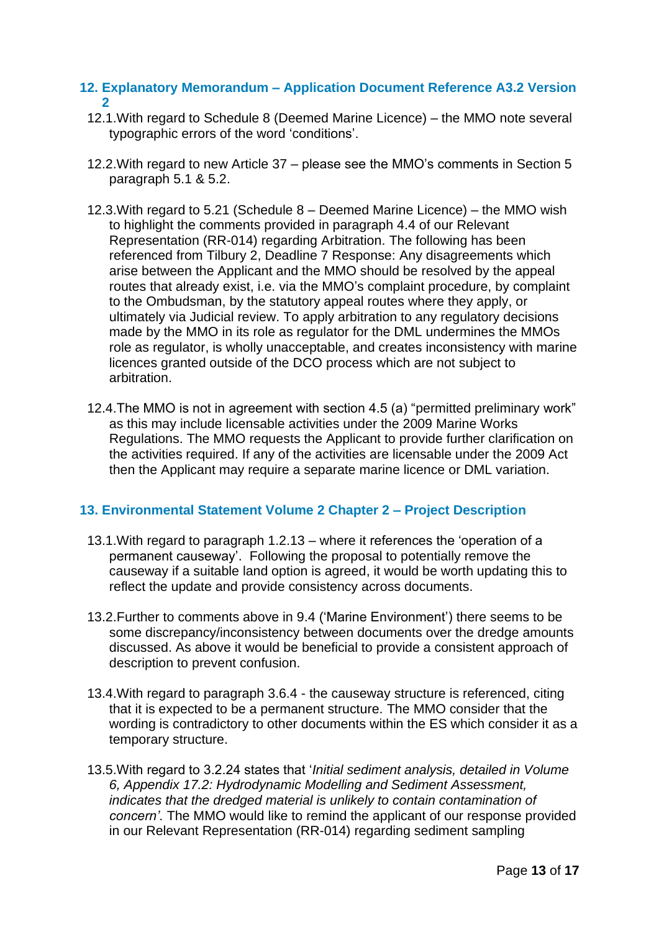#### <span id="page-12-0"></span>**12. Explanatory Memorandum – Application Document Reference A3.2 Version 2**

- 12.1.With regard to Schedule 8 (Deemed Marine Licence) the MMO note several typographic errors of the word 'conditions'.
- 12.2.With regard to new Article 37 please see the MMO's comments in Section 5 paragraph 5.1 & 5.2.
- 12.3.With regard to 5.21 (Schedule 8 Deemed Marine Licence) the MMO wish to highlight the comments provided in paragraph 4.4 of our Relevant Representation (RR-014) regarding Arbitration. The following has been referenced from Tilbury 2, Deadline 7 Response: Any disagreements which arise between the Applicant and the MMO should be resolved by the appeal routes that already exist, i.e. via the MMO's complaint procedure, by complaint to the Ombudsman, by the statutory appeal routes where they apply, or ultimately via Judicial review. To apply arbitration to any regulatory decisions made by the MMO in its role as regulator for the DML undermines the MMOs role as regulator, is wholly unacceptable, and creates inconsistency with marine licences granted outside of the DCO process which are not subject to arbitration.
- 12.4.The MMO is not in agreement with section 4.5 (a) "permitted preliminary work" as this may include licensable activities under the 2009 Marine Works Regulations. The MMO requests the Applicant to provide further clarification on the activities required. If any of the activities are licensable under the 2009 Act then the Applicant may require a separate marine licence or DML variation.

#### <span id="page-12-1"></span>**13. Environmental Statement Volume 2 Chapter 2 – Project Description**

- 13.1.With regard to paragraph 1.2.13 where it references the 'operation of a permanent causeway'. Following the proposal to potentially remove the causeway if a suitable land option is agreed, it would be worth updating this to reflect the update and provide consistency across documents.
- 13.2.Further to comments above in 9.4 ('Marine Environment') there seems to be some discrepancy/inconsistency between documents over the dredge amounts discussed. As above it would be beneficial to provide a consistent approach of description to prevent confusion.
- 13.4.With regard to paragraph 3.6.4 the causeway structure is referenced, citing that it is expected to be a permanent structure. The MMO consider that the wording is contradictory to other documents within the ES which consider it as a temporary structure.
- 13.5.With regard to 3.2.24 states that '*Initial sediment analysis, detailed in Volume 6, Appendix 17.2: Hydrodynamic Modelling and Sediment Assessment, indicates that the dredged material is unlikely to contain contamination of concern'.* The MMO would like to remind the applicant of our response provided in our Relevant Representation (RR-014) regarding sediment sampling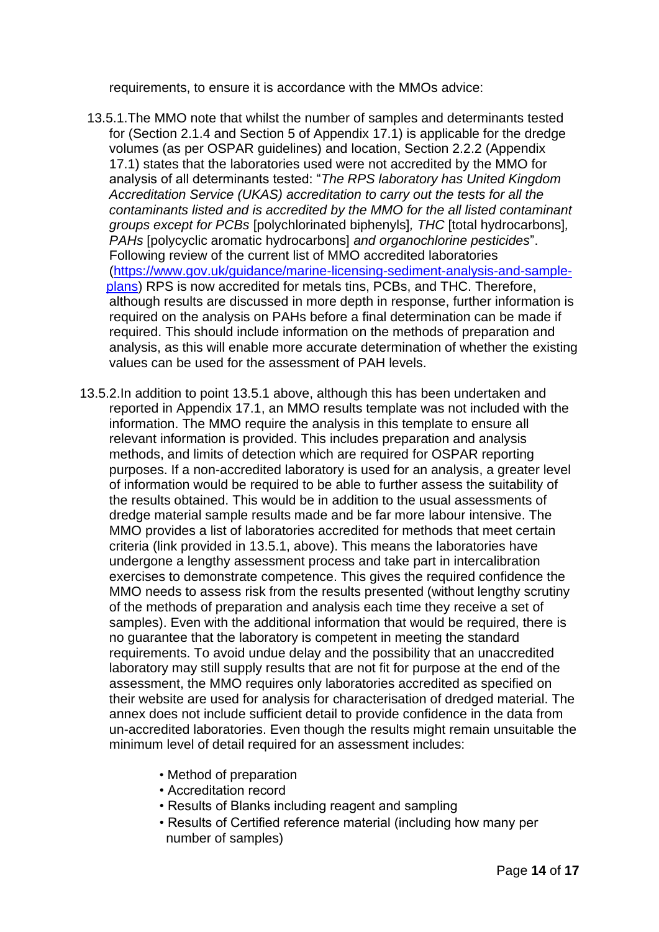requirements, to ensure it is accordance with the MMOs advice:

- 13.5.1.The MMO note that whilst the number of samples and determinants tested for (Section 2.1.4 and Section 5 of Appendix 17.1) is applicable for the dredge volumes (as per OSPAR guidelines) and location, Section 2.2.2 (Appendix 17.1) states that the laboratories used were not accredited by the MMO for analysis of all determinants tested: "*The RPS laboratory has United Kingdom Accreditation Service (UKAS) accreditation to carry out the tests for all the contaminants listed and is accredited by the MMO for the all listed contaminant groups except for PCBs* [polychlorinated biphenyls]*, THC* [total hydrocarbons]*, PAHs* [polycyclic aromatic hydrocarbons] *and organochlorine pesticides*". Following review of the current list of MMO accredited laboratories [\(https://www.gov.uk/guidance/marine-licensing-sediment-analysis-and-sample](https://www.gov.uk/guidance/marine-licensing-sediment-analysis-and-sample-%20%20plans)[plans\)](https://www.gov.uk/guidance/marine-licensing-sediment-analysis-and-sample-%20%20plans) RPS is now accredited for metals tins, PCBs, and THC. Therefore, although results are discussed in more depth in response, further information is required on the analysis on PAHs before a final determination can be made if required. This should include information on the methods of preparation and analysis, as this will enable more accurate determination of whether the existing values can be used for the assessment of PAH levels.
- 13.5.2.In addition to point 13.5.1 above, although this has been undertaken and reported in Appendix 17.1, an MMO results template was not included with the information. The MMO require the analysis in this template to ensure all relevant information is provided. This includes preparation and analysis methods, and limits of detection which are required for OSPAR reporting purposes. If a non-accredited laboratory is used for an analysis, a greater level of information would be required to be able to further assess the suitability of the results obtained. This would be in addition to the usual assessments of dredge material sample results made and be far more labour intensive. The MMO provides a list of laboratories accredited for methods that meet certain criteria (link provided in 13.5.1, above). This means the laboratories have undergone a lengthy assessment process and take part in intercalibration exercises to demonstrate competence. This gives the required confidence the MMO needs to assess risk from the results presented (without lengthy scrutiny of the methods of preparation and analysis each time they receive a set of samples). Even with the additional information that would be required, there is no guarantee that the laboratory is competent in meeting the standard requirements. To avoid undue delay and the possibility that an unaccredited laboratory may still supply results that are not fit for purpose at the end of the assessment, the MMO requires only laboratories accredited as specified on their website are used for analysis for characterisation of dredged material. The annex does not include sufficient detail to provide confidence in the data from un-accredited laboratories. Even though the results might remain unsuitable the minimum level of detail required for an assessment includes:
	- Method of preparation
	- Accreditation record
	- Results of Blanks including reagent and sampling
	- Results of Certified reference material (including how many per number of samples)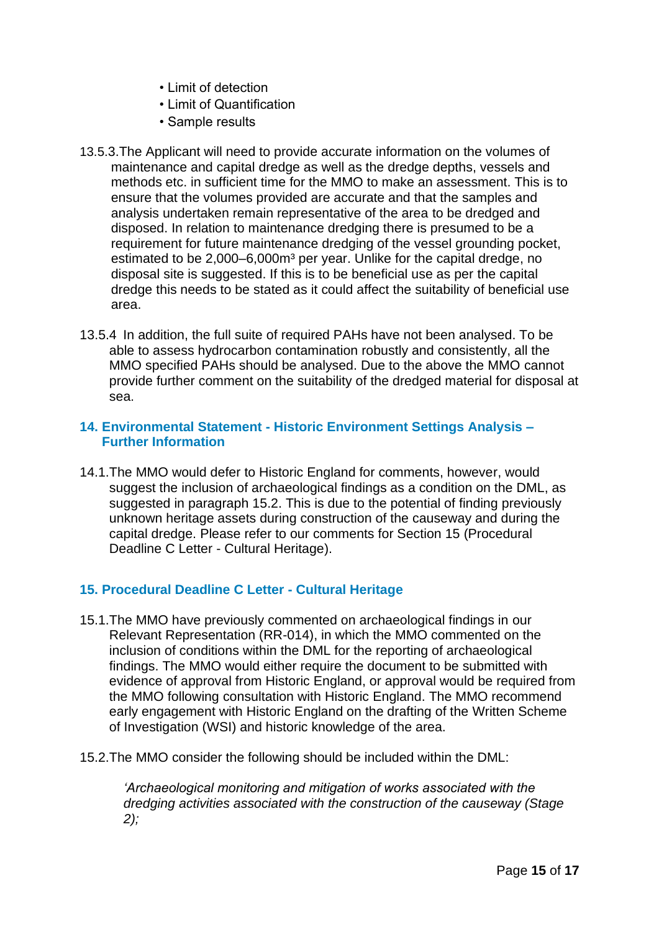- Limit of detection
- Limit of Quantification
- Sample results
- 13.5.3.The Applicant will need to provide accurate information on the volumes of maintenance and capital dredge as well as the dredge depths, vessels and methods etc. in sufficient time for the MMO to make an assessment. This is to ensure that the volumes provided are accurate and that the samples and analysis undertaken remain representative of the area to be dredged and disposed. In relation to maintenance dredging there is presumed to be a requirement for future maintenance dredging of the vessel grounding pocket, estimated to be 2,000–6,000m<sup>3</sup> per year. Unlike for the capital dredge, no disposal site is suggested. If this is to be beneficial use as per the capital dredge this needs to be stated as it could affect the suitability of beneficial use area.
- 13.5.4 In addition, the full suite of required PAHs have not been analysed. To be able to assess hydrocarbon contamination robustly and consistently, all the MMO specified PAHs should be analysed. Due to the above the MMO cannot provide further comment on the suitability of the dredged material for disposal at sea.

### <span id="page-14-1"></span><span id="page-14-0"></span>**14. Environmental Statement - Historic Environment Settings Analysis – Further Information**

14.1.The MMO would defer to Historic England for comments, however, would suggest the inclusion of archaeological findings as a condition on the DML, as suggested in paragraph 15.2. This is due to the potential of finding previously unknown heritage assets during construction of the causeway and during the capital dredge. Please refer to our comments for Section 15 (Procedural Deadline C Letter - Cultural Heritage).

# <span id="page-14-2"></span>**15. Procedural Deadline C Letter - Cultural Heritage**

- 15.1.The MMO have previously commented on archaeological findings in our Relevant Representation (RR-014), in which the MMO commented on the inclusion of conditions within the DML for the reporting of archaeological findings. The MMO would either require the document to be submitted with evidence of approval from Historic England, or approval would be required from the MMO following consultation with Historic England. The MMO recommend early engagement with Historic England on the drafting of the Written Scheme of Investigation (WSI) and historic knowledge of the area.
- 15.2.The MMO consider the following should be included within the DML:

*'Archaeological monitoring and mitigation of works associated with the dredging activities associated with the construction of the causeway (Stage 2);*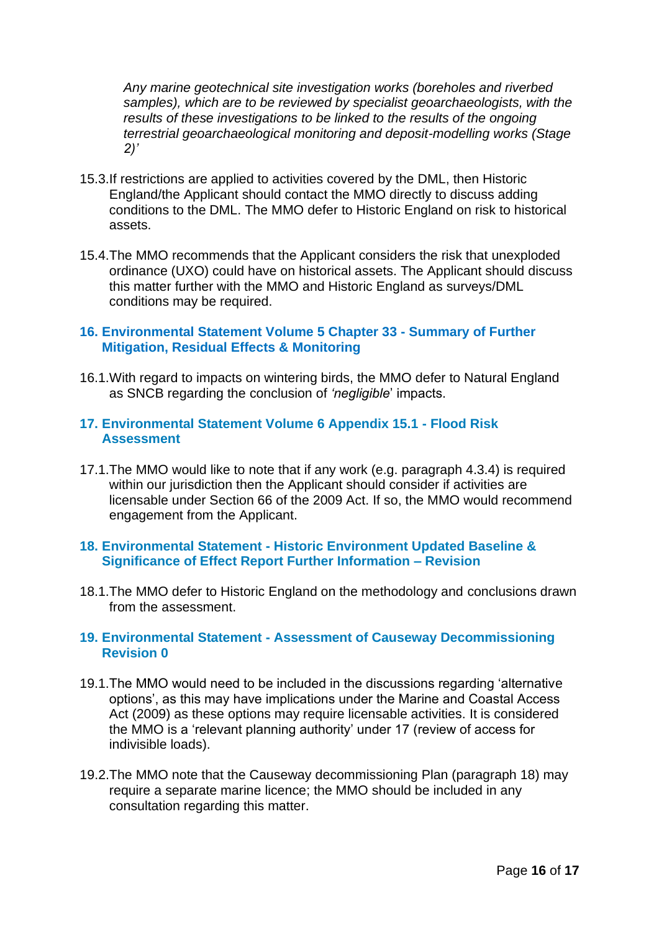*Any marine geotechnical site investigation works (boreholes and riverbed samples), which are to be reviewed by specialist geoarchaeologists, with the results of these investigations to be linked to the results of the ongoing terrestrial geoarchaeological monitoring and deposit-modelling works (Stage 2)'*

- 15.3.If restrictions are applied to activities covered by the DML, then Historic England/the Applicant should contact the MMO directly to discuss adding conditions to the DML. The MMO defer to Historic England on risk to historical assets.
- 15.4.The MMO recommends that the Applicant considers the risk that unexploded ordinance (UXO) could have on historical assets. The Applicant should discuss this matter further with the MMO and Historic England as surveys/DML conditions may be required.

#### <span id="page-15-1"></span><span id="page-15-0"></span>**16. Environmental Statement Volume 5 Chapter 33 - Summary of Further Mitigation, Residual Effects & Monitoring**

16.1.With regard to impacts on wintering birds, the MMO defer to Natural England as SNCB regarding the conclusion of *'negligible*' impacts.

#### <span id="page-15-3"></span><span id="page-15-2"></span>**17. Environmental Statement Volume 6 Appendix 15.1 - Flood Risk Assessment**

17.1.The MMO would like to note that if any work (e.g. paragraph 4.3.4) is required within our jurisdiction then the Applicant should consider if activities are licensable under Section 66 of the 2009 Act. If so, the MMO would recommend engagement from the Applicant.

#### <span id="page-15-5"></span><span id="page-15-4"></span>**18. Environmental Statement - Historic Environment Updated Baseline & Significance of Effect Report Further Information – Revision**

18.1.The MMO defer to Historic England on the methodology and conclusions drawn from the assessment.

#### <span id="page-15-7"></span><span id="page-15-6"></span>**19. Environmental Statement - Assessment of Causeway Decommissioning Revision 0**

- 19.1.The MMO would need to be included in the discussions regarding 'alternative options', as this may have implications under the Marine and Coastal Access Act (2009) as these options may require licensable activities. It is considered the MMO is a 'relevant planning authority' under 17 (review of access for indivisible loads).
- 19.2.The MMO note that the Causeway decommissioning Plan (paragraph 18) may require a separate marine licence; the MMO should be included in any consultation regarding this matter.